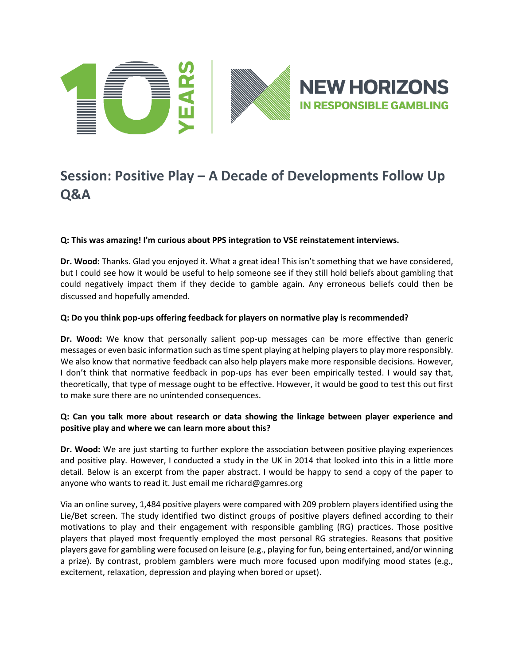

## **Session: Positive Play – A Decade of Developments Follow Up Q&A**

## **Q: This was amazing! I'm curious about PPS integration to VSE reinstatement interviews.**

**Dr. Wood:** Thanks. Glad you enjoyed it. What a great idea! This isn't something that we have considered, but I could see how it would be useful to help someone see if they still hold beliefs about gambling that could negatively impact them if they decide to gamble again. Any erroneous beliefs could then be discussed and hopefully amended.

## **Q: Do you think pop-ups offering feedback for players on normative play is recommended?**

**Dr. Wood:** We know that personally salient pop-up messages can be more effective than generic messages or even basic information such as time spent playing at helping players to play more responsibly. We also know that normative feedback can also help players make more responsible decisions. However, I don't think that normative feedback in pop-ups has ever been empirically tested. I would say that, theoretically, that type of message ought to be effective. However, it would be good to test this out first to make sure there are no unintended consequences.

## **Q: Can you talk more about research or data showing the linkage between player experience and positive play and where we can learn more about this?**

**Dr. Wood:** We are just starting to further explore the association between positive playing experiences and positive play. However, I conducted a study in the UK in 2014 that looked into this in a little more detail. Below is an excerpt from the paper abstract. I would be happy to send a copy of the paper to anyone who wants to read it. Just email me richard@gamres.org

Via an online survey, 1,484 positive players were compared with 209 problem players identified using the Lie/Bet screen. The study identified two distinct groups of positive players defined according to their motivations to play and their engagement with responsible gambling (RG) practices. Those positive players that played most frequently employed the most personal RG strategies. Reasons that positive players gave for gambling were focused on leisure (e.g., playing for fun, being entertained, and/or winning a prize). By contrast, problem gamblers were much more focused upon modifying mood states (e.g., excitement, relaxation, depression and playing when bored or upset).